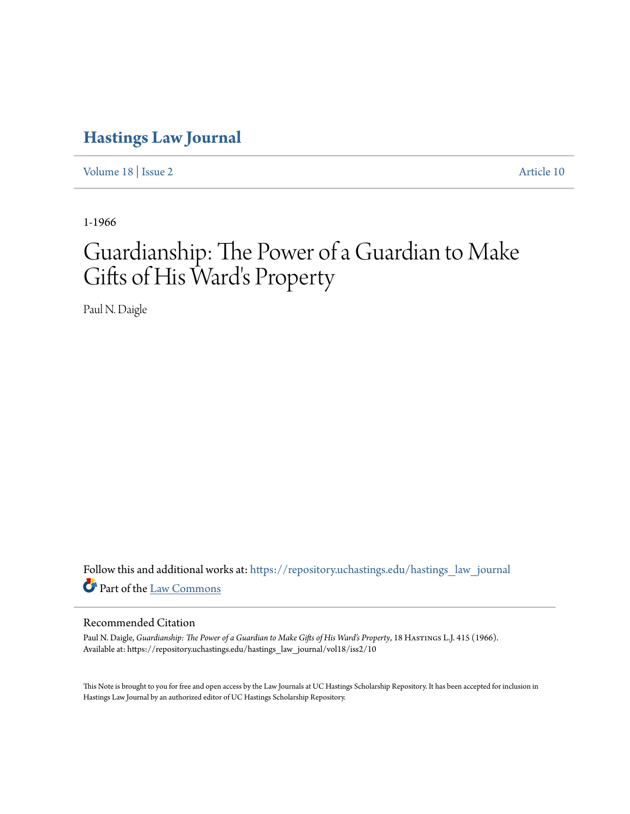### **[Hastings Law Journal](https://repository.uchastings.edu/hastings_law_journal?utm_source=repository.uchastings.edu%2Fhastings_law_journal%2Fvol18%2Fiss2%2F10&utm_medium=PDF&utm_campaign=PDFCoverPages)**

[Volume 18](https://repository.uchastings.edu/hastings_law_journal/vol18?utm_source=repository.uchastings.edu%2Fhastings_law_journal%2Fvol18%2Fiss2%2F10&utm_medium=PDF&utm_campaign=PDFCoverPages) | [Issue 2](https://repository.uchastings.edu/hastings_law_journal/vol18/iss2?utm_source=repository.uchastings.edu%2Fhastings_law_journal%2Fvol18%2Fiss2%2F10&utm_medium=PDF&utm_campaign=PDFCoverPages) [Article 10](https://repository.uchastings.edu/hastings_law_journal/vol18/iss2/10?utm_source=repository.uchastings.edu%2Fhastings_law_journal%2Fvol18%2Fiss2%2F10&utm_medium=PDF&utm_campaign=PDFCoverPages)

1-1966

# Guardianship: The Power of a Guardian to Make Gifts of His Ward's Property

Paul N. Daigle

Follow this and additional works at: [https://repository.uchastings.edu/hastings\\_law\\_journal](https://repository.uchastings.edu/hastings_law_journal?utm_source=repository.uchastings.edu%2Fhastings_law_journal%2Fvol18%2Fiss2%2F10&utm_medium=PDF&utm_campaign=PDFCoverPages) Part of the [Law Commons](http://network.bepress.com/hgg/discipline/578?utm_source=repository.uchastings.edu%2Fhastings_law_journal%2Fvol18%2Fiss2%2F10&utm_medium=PDF&utm_campaign=PDFCoverPages)

### Recommended Citation

Paul N. Daigle, *Guardianship: The Power of a Guardian to Make Gifts of His Ward's Property*, 18 HASTINGS L.J. 415 (1966). Available at: https://repository.uchastings.edu/hastings\_law\_journal/vol18/iss2/10

This Note is brought to you for free and open access by the Law Journals at UC Hastings Scholarship Repository. It has been accepted for inclusion in Hastings Law Journal by an authorized editor of UC Hastings Scholarship Repository.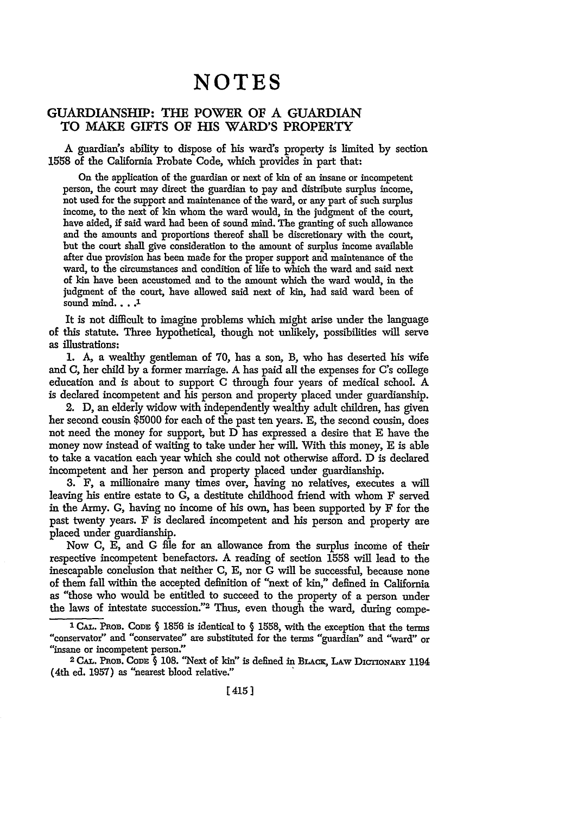## **NOTES**

#### **GUARDIANSHIP: THE POWER OF A GUARDIAN TO MAKE GIFTS OF HIS WARD'S PROPERTY**

A guardian's ability to dispose of his ward's property is limited by section 1558 of the California Probate Code, which provides in part that:

On the application of the guardian or next of kin of an insane or incompetent person, the court may direct the guardian to pay and distribute surplus income, not used for the support and maintenance of the ward, or any part of such surplus income, to the next of kin whom the ward would, in the judgment of the court, have aided, if said ward had been of sound mind. The granting of such allowance and the amounts and proportions thereof shall be discretionary with the court, but the court shall give consideration to the amount of surplus income available after due provision has been made for the proper support and maintenance of the ward, to the circumstances and condition of life to which the ward and said next of kin have been accustomed and to the amount which the ward would, in the judgment of the court, have allowed said next of kin, had said ward been of sound mind... **.J**

It is not difficult to imagine problems which might arise under the language of this statute. Three hypothetical, though not unlikely, possibilities will serve as illustrations:

1. A, a wealthy gentleman of 70, has a son, B, who has deserted his wife and C, her child by a former marriage. A has paid all the expenses for C's college education and is about to support C through four years of medical school. A is declared incompetent and his person and property placed under guardianship.

2. D, an elderly widow with independently wealthy adult children, has given her second cousin \$5000 for each of the past ten years. **E,** the second cousin, does not need the money for support, but D has expressed a desire that E have the money now instead of waiting to take under her will. With this money, **E** is able to take a vacation each year which she could not otherwise afford. D is declared incompetent and her person and property placed under guardianship.

**3.** F, a millionaire many times over, having no relatives, executes a will leaving his entire estate to G, a destitute childhood friend with whom F served in the Army. G, having no income of his own, has been supported by F for the past twenty years. F is declared incompetent and his person and property are placed under guardianship.

Now C, **E,** and **G** file for an allowance from the surplus income of their respective incompetent benefactors. A reading of section 1558 will lead to the inescapable conclusion that neither C, **E,** nor G will be successful, because none of them fall within the accepted definition of "next of kin," defined in California as "those who would be entitled to succeed to the property of a person under the laws of intestate succession."2 Thus, even though the ward, during compe-

<sup>&</sup>lt;sup>1</sup> CAL. PROB. CODE  $\S$  1856 is identical to  $\S$  1558, with the exception that the terms "conservator" and "conservatee" are substituted for the terms "guardian" and "ward" or "insane or incompetent person."

**<sup>2</sup> CAL. PROB.** CoDn **§ 108.** "Next of kin" is defined in **BLAcx,** LAw **DicTIoNAny** 1194 (4th ed. **1957)** as "nearest blood relative."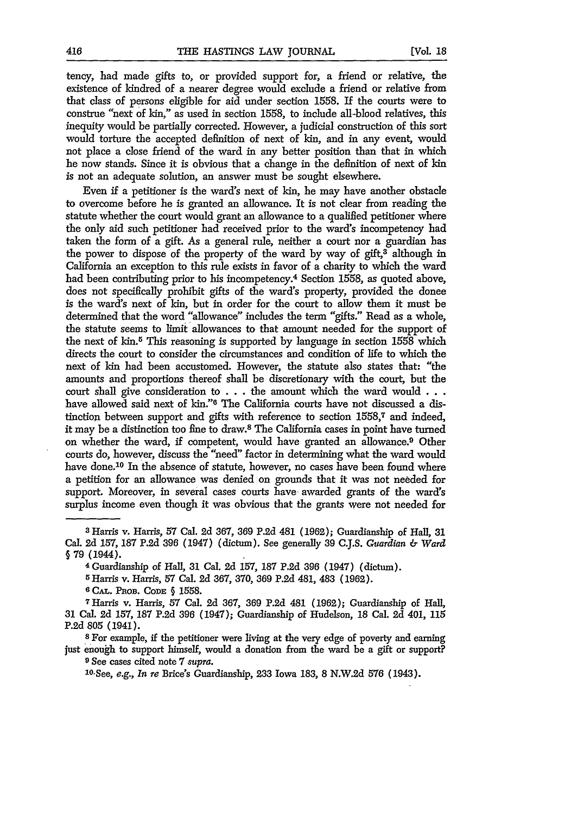tency, had made gifts to, or provided support for, a friend or relative, the existence of kindred of a nearer degree would exclude a friend or relative from that class of persons eligible for aid under section 1558. If the courts were to construe "next of kin," as used in section 1558, to include all-blood relatives, this inequity would be partially corrected. However, a judicial construction of this sort would torture the accepted definition of next of kin, and in any event, would not place a close friend of the ward in any better position than that in which he now stands. Since it is obvious that a change in the definition of next of kin is not an adequate solution, an answer must be sought elsewhere.

Even if a petitioner is the ward's next of kin, he may have another obstacle to overcome before he is granted an allowance. It is not clear from reading the statute whether the court would grant an allowance to a qualified petitioner where the only aid such petitioner had received prior to the ward's incompetency had taken the form of a gift. As a general rule, neither a court nor a guardian has the power to dispose of the property of the ward by way of gift, $3$  although in California an exception to this rule exists in favor of a charity to which the ward had been contributing prior to his incompetency.<sup>4</sup> Section 1558, as quoted above, does not specifically prohibit gifts of the ward's property, provided the donee is the ward's next of kin, but in order for the court to allow them it must be determined that the word "allowance" includes the term "gifts." Read as a whole, the statute seems to limit allowances to that amount needed for the support of the next of kin.5 This reasoning is supported by language in section 1558 which directs the court to consider the circumstances and condition of life to which the next of kin had been accustomed. However, the statute also states that: "the amounts and proportions thereof shall be discretionary with the court, but the court shall give consideration to . **.** . the amount which the ward would **. . .** have allowed said next of kin."6 The California courts have not discussed a distinction between support and gifts with reference to section 1558,7 and indeed, it may be a distinction too fine to draw.8 The California cases in point have turned on whether the ward, if competent, would have granted an allowance.9 Other courts do, however, discuss the "need" factor in determining what the ward would have done.<sup>10</sup> In the absence of statute, however, no cases have been found where a petition for an allowance was denied on grounds that it was not needed for support. Moreover, in several cases courts have awarded grants of the ward's surplus income even though it was obvious that the grants were not needed for

**5 Harris** v. Harris, **57** Cal. 2d **367, 370, 369 P.2d** 481, 483 **(1962).**

**6** *CAL.* **PROB. CODE** § 1558.

<sup>7</sup> Harris v. Harris, **57** Cal. **2d** 367, **369** P.2d 481 (1962); Guardianship of Hall, **31** Cal. **2d 157, 187** P.2d **396** (1947); Guardianship of Hudelson, **18** Cal. **2d** 401, 115

**P.2d 805** (1941). <sup>8</sup> For example, if the petitioner were living at the very edge of poverty and earning just enough to support himself, would a donation from the ward be a gift or support?

**9** See cases cited note 7 *supra.*

' <sup>0</sup> .See, *e.g., In re* Brice's Guardianship, 233 Iowa 183, 8 N.W.2d 576 (1943).

**<sup>3</sup>** Harris v. Harris, **57** Cal. **2d** 367, **369 P.2d** 481 (1962); Guardianship of Hall, **31** Cal. **2d 157, 187** P.2d **396** (1947) (dictum). See generally **39 C.J.S.** *Guardian & Ward* **§ 79** (1944).

**<sup>4</sup>** Guardianship **of** Hall, **31** Cal. **2d 157, 187 P.2d 396** (1947) (dictum).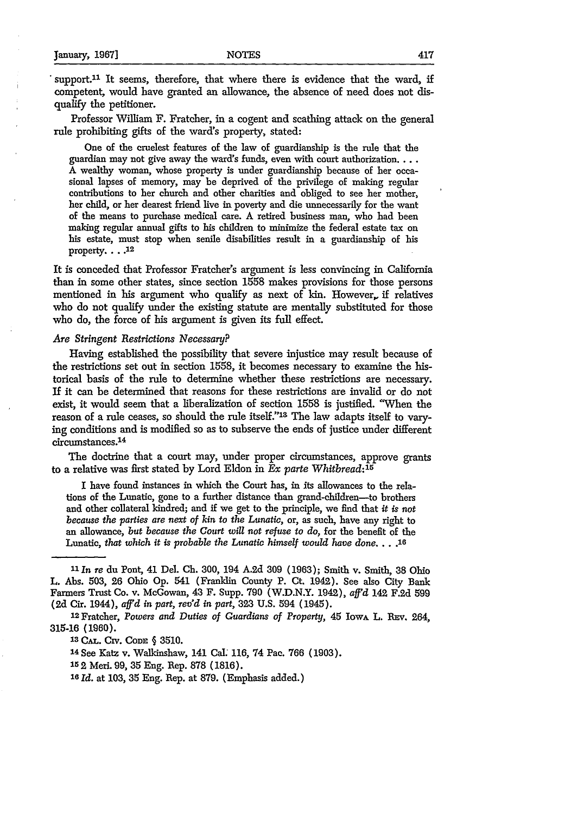support.<sup>11</sup> It seems, therefore, that where there is evidence that the ward, if competent, would have granted an allowance, the absence of need does not disqualify the petitioner.

Professor William F. Fratcher, in a cogent and scathing attack on the general rule prohibiting gifts of the ward's property, stated:

One of the cruelest features of the law of guardianship is the rule that the guardian may not give away the ward's funds, even with court authorization.  $\ldots$ A wealthy woman, whose property is under guardianship because of her occasional lapses of memory, may be deprived of the privilege of making regular contributions to her church and other charities and obliged to see her mother, her child, or her dearest friend live in poverty and die unnecessarily for the want of the means to purchase medical care. A retired business man, who had been making regular annual gifts to his children to minimize the federal estate tax on his estate, must stop when senile disabilities result in a guardianship of his property.  $\ldots$ <sup>12</sup>

It is conceded that Professor Fratcher's argument is less convincing in California than in some other states, since section 1558 makes provisions for those persons mentioned in his argument who qualify as next of kin. However,, if relatives who do not qualify under the existing statute are mentally substituted for those who do, the force of his argument is given its full effect.

#### *Are Stringent Restrictions Necessary?*

Having established the possibility that severe injustice may result because of the restrictions set out in section 1558, it becomes necessary to examine the historical basis of the rule to determine whether these restrictions are necessary. **If** it can be determined that reasons for these restrictions are invalid or do not exist, it would seem that a liberalization of section 1558 is justified. "When the reason of a rule ceases, so should the rule itself."'8 The law adapts itself to varying conditions and is modified so as to subserve the ends of justice under different circumstances. <sup>14</sup>

The doctrine that a court may, under proper circumstances, approve grants to a relative was first stated by Lord Eldon in *Ex parte Whitbread:15*

**I** have found instances in which the Court has, in its allowances to the relations of the Lunatic, gone to a further distance than grand-children—to brothers and other collateral kindred; and if we get to the principle, we find that *it is not because the parties are next of kin to the Lunatic,* or, as such, have any right to an allowance, *but because the Court* will *not refuse to do,* for the benefit of the Lunatic, *that which it is probable the Lunatic himself would have done ....* **<sup>16</sup>**

1 <sup>2</sup> Fratcher, *Powers and Duties of Guardians of Property,* 45 Iowa L. **REv.** 264, 315-16 (1960). **<sup>13</sup>**CAL. CiV. **CODE §** 3510.

<sup>14</sup> See Katz v. Walkinshaw, 141 Cal. 116, 74 Pac. 766 (1903).

152 Meri. 99, 35 Eng. Rep. 878 **(1816).**

*16 Id.* at 103, 35 Eng. Rep. at 879. (Emphasis added.)

*<sup>11</sup>In re* du Pont, 41 Del. **Ch.** 300, 194 A.2d 309 (1963); Smith v. Smith, 38 Ohio L. Abs. 503, 26 Ohio Op. 541 (Franklin County P. Ct. 1942). See also City Bank Farmers Trust Co. v. McGowan, 43 F. Supp. 790 (W.D.N.Y. 1942), *aff'd* 142 F.2d 599 **(2d** Cir. 1944), *aff'd in part, rev'd in part,* 323 U.S. 594 (1945).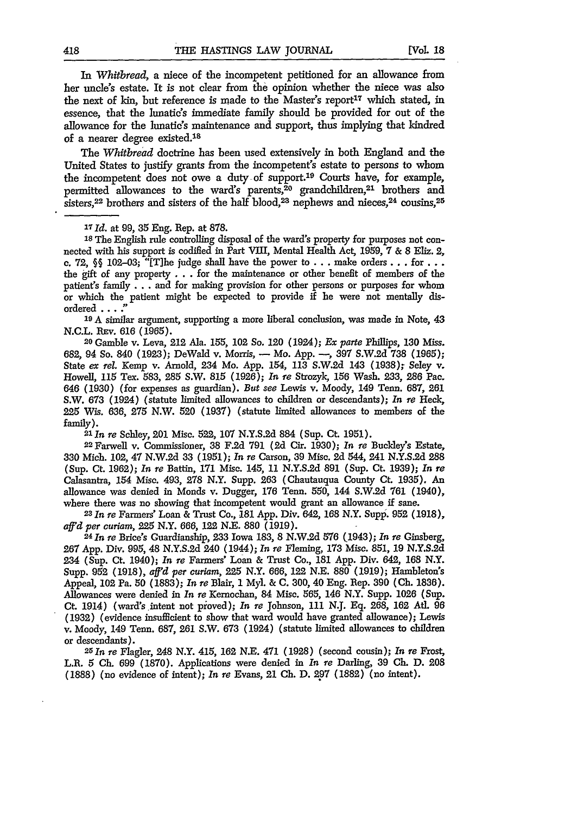*In Whitbread,* a niece of the incompetent petitioned for an allowance from her uncle's estate. It is not clear from the opinion whether the niece was also the next of kin, but reference is made to the Master's report<sup>17</sup> which stated, in essence, that the lunatic's immediate family should be provided for out of the allowance for the lunatic's maintenance and support, thus implying that kindred of a nearer degree existed.<sup>18</sup>

The *Whitbread* doctrine has been used extensively in both England and the United States to justify grants from the incompetent's estate to persons to whom the incompetent does not owe a duty of support.<sup>19</sup> Courts have, for example, permitted allowances to the ward's parents,<sup>20</sup> grandchildren,<sup>21</sup> brothers and sisters,<sup>22</sup> brothers and sisters of the half blood,<sup>23</sup> nephews and nieces,<sup>24</sup> cousins,<sup>25</sup>

**18** The English rule controlling disposal of the ward's property for purposes not connected with his support is codified in Part VIII, Mental Health Act, 1959, **7 &** 8 Eliz. 2, c. **72, §§** 102-03; "[The judge shall have the power to . . . make orders.., for **. . .** the gift of any property . . . for the maintenance or other benefit of members of the patient's family... and for making provision for other persons or purposes for whom or which the patient might be expected to provide **if** he were not mentally disordered ... *:'*

**<sup>19</sup>***A* similar argument, supporting a more liberal conclusion, was made in Note, 43 N.C.L. REv. 616 (1965).

*<sup>20</sup>*Gamble v. Leva, 212 Ala. 155, 102 So. 120 (1924); *Ex parte* Phillips, **130** Miss. 682, 94 So. 840 (1923); DeWald v. Morris, **-** Mo. App. -, 397 S.W.2d **738 (1965);** State *ex rel.* Kemp v. Arnold, 234 Mo. App. 154, 113 S.W.2d 143 (1938); Seley v. Howell, 115 Tex. 583, **285** S.W. 815 (1926); *In re* Strozyk, 156 Wash. 233, 286 Pac. 646 (1930) (for expenses as guardian). But *see* Lewis v. Moody, 149 Tenn. 687, **261** S.W. 673 (1924) (statute limited allowances to children or descendants); *In re* **Heek, 225** Wis. 636, **275** N.W. 520 (1937) (statute limited allowances to members of the

family). *<sup>2</sup> <sup>1</sup> In re* Scehley, 201 Misc. 522, **107** N.Y.S.2d 884 (Sup. Ct. 1951). <sup>22</sup> Farwell v. Commissioner, 38 F.2d **791 (2d** Cir. 1930); *In re* Buckley's Estate, **330** Mich. 102, 47 N.W.2d **33 (1951);** *In* re Carson, **39** Misc. 2d 544, 241 N.Y.S.2d **288** (Sup. Ct. 1962); *In re* Battin, **171** Misc. 145, 11 N.Y.S.2d 891 (Sup. Ct. 1939); *In re* Calasantra, 154 Misc. 493, 278 N.Y. Supp. **263** (Chautauqua County Ct. 1935). An allowance was denied in Monds v. Dugger, **176** Tenn. 550, 144 S.W.2d **761** (1940), where there was no showing that incompetent would grant an allowance if sane.

*<sup>23</sup> In re* Farmers' Loan & Trust Co., 181 App. Div. 642, 168 N.Y. Supp. **952** (1918),

*aff'd per curiam,* 225 N.Y. *666,* 122 N.E. 880 (1919). *<sup>2</sup> <sup>4</sup> 1n re* Brice's Guardianship, 233 Iowa 183, 8 N.W.2d 576 (1943); *In re* Ginsberg, **267** App. Div. 995, 48 N.Y.S.2d 240 (1944); *In re* Fleming, **173** Misc. 851, **19** N.Y.S.2d 234 (Sup. Ct. 1940); *In* re Farmers" Loan & Trust Co., 181 App. Div. 642, 168 N.Y. Supp. **952** (1918), *aff'd per curiam,* 225 N.Y. 666, **122** N.E. 880 (1919); Hambleton's Appeal, 102 Pa. 50 (1883); *In re* Blair, **1** Myl. & **C.** 300, 40 Eng. Rep. **390 (Ch. 1836).** Allowances were denied in *In re* Kernochan, 84 Misc. 565, 146 N.Y. Supp. **1026** (Sup. Ct. 1914) (ward's intent not pioved); *In re* Johnson, 111 N.J. **Eq.** 268, **162** At. 96 (1932) (evidence insufficient to show that ward would have granted allowance); Lewis v. Moody, 149 Tenn. 687, **261** S.W. 673 (1924) (statute limited allowances to children or descendants). *<sup>25</sup> 1n re* Flagler, 248 N.Y. 415, **162** N.E. 471 (1928) (second cousin); *In re* Frost,

L.R. 5 **Ch.** 699 (1870). Applications were denied in *In* re Darling, 39 **Ch.** D. **208** (1888) (no evidence of intent); *In* re Evans, 21 **Ch.** D. 297 (1882) (no intent).

*<sup>17</sup>Id.* at 99, **35** Eng. Rep. at 878.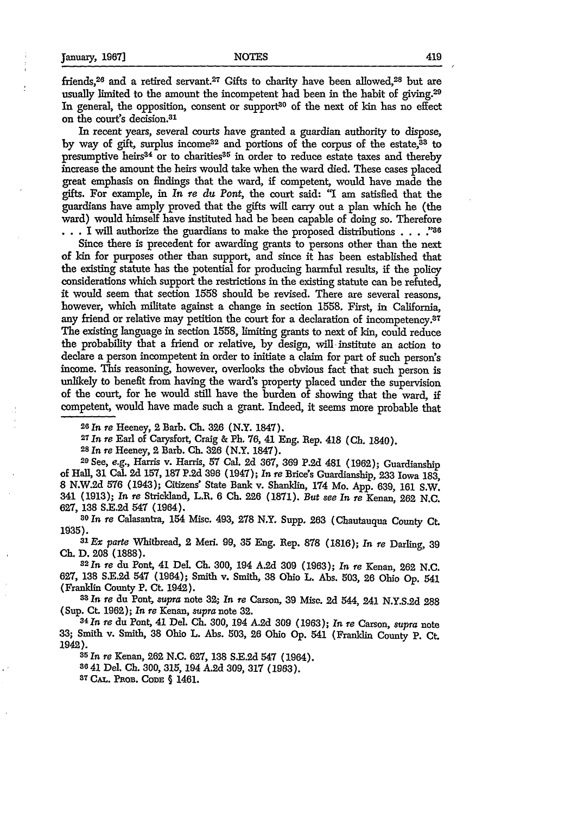friends, <sup>26</sup> and a retired servant.<sup>27</sup> Gifts to charity have been allowed, <sup>28</sup> but are usually limited to the amount the incompetent had been in the habit of giving.29 In general, the opposition, consent or support<sup>30</sup> of the next of kin has no effect on the court's decision. <sup>31</sup>

In recent years, several courts have granted a guardian authority to dispose, by way of gift, surplus income<sup>32</sup> and portions of the corpus of the estate, $33$  to presumptive heirs<sup>34</sup> or to charities<sup>35</sup> in order to reduce estate taxes and thereby increase the amount the heirs would take when the ward died. These eases placed great emphasis on findings that the ward, if competent, would have made the gifts. For example, in *In* re *du Pont,* the court said: **"I** am satisfied that the guardians have amply proved that the gifts will carry out a plan which he (the ward) would himself have instituted had be been capable of doing so. Therefore . . . I will authorize the guardians to make the proposed distributions **. . . :'as**

Since there is precedent for awarding grants to persons other than the next of **kin** for purposes other than support, and since it has been established that the existing statute has the potential for producing harmful results, if the policy considerations which support the restrictions in the existing statute can be refuted, it would seem that section 1558 should be revised. There are several reasons, however, which militate against a change in section 1558. First, in California, any friend or relative may petition the court for a declaration of incompetency.87 The existing language in section 1558, limiting grants to next of kin, could reduce the probability that a friend or relative, by design, will institute an action to declare a person incompetent in order to initiate a claim for part of such person's income. This reasoning, however, overlooks the obvious fact that such person is unlikely to benefit from having the ward's property placed under the supervision of the court, for he would still have the burden of showing that the ward, if competent, would have made such a grant. Indeed, it seems more probable that

**26** In *re* Heeney, 2 Barb. **Ch.** 326 (N.Y. 1847). *<sup>2</sup> <sup>7</sup>*

*In re* Earl of Carysfort, Craig & **P. 76,** 41 Eng. Rep. 418 **(Ch.** 1840).

**<sup>28</sup>In** *re* Heeney, 2 Barb. **Ch. 326** (N.Y. 1847). 20 See, e.g., Harris v. Harris, 57 Cal. **2d** 367, **369** P.2d 481 (1962); Guardianship of Hall, **31** Cal. 2d 157, **187** P.2d 396 (1947); *In* re Brice's Guardianship, **233** Iowa **183,** 8 N.W.2d 576 (1943); Citizens' State Bank v. Shanklin, 174 Mo. App. 639, 161 S.W. 341 **(1913);** *In re* Stricldand, L.R. 6 **Ch. 226** (1871). *But see In re* Kenan, **262 N.C.**

627, 138 S.E.2d **547** (1964). *<sup>80</sup>*In *re* Calasantra, 154 Misc. 493, 278 N.Y. Supp. 263 (Chautauqua County Ct.

1035).*81Ex parte* Whitbread, 2 Meri. **99, 35** Eng. Rep. **878 (1816);** *In re* Darling, 39 **Ch. D. 208 (1888).**

*<sup>3</sup><sup>2</sup> In re* du Pont, 41 Del. **Ch.** 300, 194 A.2d **309 (1963);** *In re* Kenan, 262 N.C. **627, 138** S.E.2d 547 (1964); Smith v. Smith, **38** Ohio L. Abs. 503, 26 Ohio Op. 541 (Franklin County P. Ct. 1942).

*3 <sup>8</sup>In re* du Pont, *supra* note **32;** *In* re Carson, **39** Misc. 2d 544, 241 N.Y.S.2d 288 (Sup. Ct. **1962);** *In re* Kenan, *supra* note **32.**

*3 <sup>4</sup> In re* du Pont, 41 Del. **Ch. 300,** 194 A.2d **309 (1963);** *In re* Carson, *supra* note **33;** Smith v. Smith, **38** Ohio L. Abs. 503, 26 Ohio Op. 541 (Franklin County **P.** Ct 1942).*85* In *re* Kenan, 262 N.C. 627, 138 S.E.2d 547 (1964).

**<sup>8641</sup>**Del. **Ch.** 300, 315, 194 A.2d 309, 317 (1963). **<sup>87</sup>CAL. PnoB. CODE §** 1461.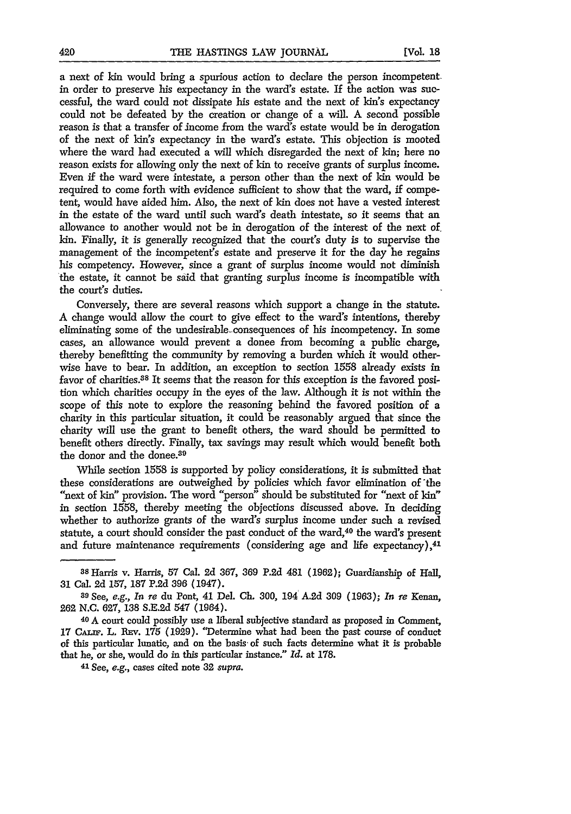a next of kin would bring a spurious action to declare the person incompetentin order to preserve his expectancy in the ward's estate. If the action was successful, the ward could not dissipate his estate and the next of *kin's* expectancy could not be defeated by the creation or change of a will. A second possible reason is that a transfer of income from the ward's estate would be in derogation of the next of kin's expectancy in the ward's estate. This objection is mooted where the ward bad executed a will which disregarded the next of kin; here no reason exists for allowing only the next of kin to receive grants of surplus income. Even if the ward were intestate, a person other than the next of kin would be required to come forth with evidence sufficient to show that the ward, if competent, would have aided him. Also, the next of kin does not have a vested interest in the estate of the ward until such ward's death intestate, so it seems that an allowance to another would not be in derogation of the interest of the next of. kin. Finally, it is generally recognized that the court's duty is to supervise the management of the incompetent's estate and preserve it for the day he regains his competency. However, since a grant of surplus income would not diminish the estate, it cannot be said that granting surplus income is incompatible with the court's duties.

Conversely, there are several reasons which support a change in the statute. A change would allow the court to give effect to the ward's intentions, thereby eliminating some of the undesirable-consequences of his incompetency. In some cases, an allowance would prevent a donee from becoming a public charge, thereby benefitting the community by removing a burden which it would otherwise have to bear. In addition, an exception to section 1558 already exists in favor of charities.<sup>38</sup> It seems that the reason for this exception is the favored position which charities occupy in the eyes of the law. Although it is not within the scope of this note to explore the reasoning behind the favored position of a charity in this particular situation, it could be reasonably argued that since the charity will use the grant to benefit others, the ward should be permitted to benefit others directly. Finally, tax savings may result which would benefit both the donor and the donee.<sup>39</sup>

While section 1558 is supported by policy considerations, it is submitted that these considerations are outweighed by policies which favor elimination of the "next of kin" provision. The word "person" should be substituted for "next of kin" in section 1558, thereby meeting the objections discussed above. In deciding whether to authorize grants of the ward's surplus income under such a revised statute, a court should consider the past conduct of the ward,<sup>40</sup> the ward's present and future maintenance requirements (considering age and life expectancy), $41$ 

aSHarris v. Harris, **57** Cal. 2d **367, 369 P.2d** 481 **(1962);** Guardianship of Hall, **31** Cal. **2d** 157, **187 P.2d** 396 (1947).

*<sup>39</sup>*See, e.g., *In re* du Pont, 41 Del. **Ch.** 300, **194** A.2d 309 (1963); *In re* Kenan, 262 N.C. 627, **138** S.E.2d 547 (1964).

<sup>40</sup> A court could possibly use a liberal subjective standard as proposed in Comment, 17 CALIF. L. REV. 175 (1929). "Determine what had been the past course of conduct of this particular lunatic, and on the basis" of such facts determine what it is probable that he, or she, would do in this particular instance." *Id.* at 178.

<sup>41</sup> See, *e.g.,* cases cited note **32** *supra.*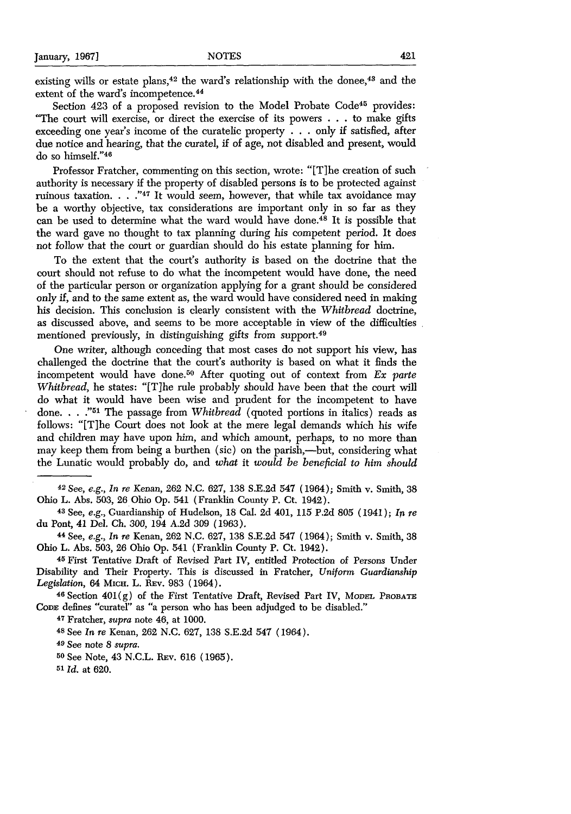existing wills or estate plans,  $42$  the ward's relationship with the donee,  $43$  and the extent of the ward's incompetence. <sup>44</sup>

Section 423 of a proposed revision to the Model Probate Code<sup>45</sup> provides: "The court will exercise, or direct the exercise of its powers . . . to make gifts exceeding one year's income of the curatelic property . **. .** only if satisfied, after due notice and hearing, that the curatel, if of age, not disabled and present, would do so himself."<sup>46</sup>

Professor Fratcher, commenting on this section, wrote: "[T]he creation of such authority is necessary if the property of disabled persons is to be protected against ruinous taxation **. .** ."47 It would seem, however, that while tax avoidance may be a worthy objective, tax considerations are important only in so far as they can be used to determine what the ward would have done.48 It is possible that the ward gave no thought to tax planning during his competent period. It does not follow that the court or guardian should do his estate planning for him.

To the extent that the court's authority is based on the doctrine that the court should not refuse to do what the incompetent would have done, the need of the particular person or organization applying for a grant should be considered only if, and to the same extent as, the ward would have considered need in making his decision. This conclusion is clearly consistent with the *Whitbread* doctrine, as discussed above, and seems to be more acceptable in view of the difficulties mentioned previously, in distinguishing gifts from support.<sup>48</sup>

One writer, although conceding that most cases do not support his view, has challenged the doctrine that the court's authority is based on what it finds the incompetent would have done.<sup>50</sup> After quoting out of context from *Ex parte Whitbread, he states:* "[T]he rule probably should have been that the court will do what it would have been wise and prudent for the incompetent to have done. **... 51** The passage from *Whitbread* (quoted portions in italics) reads as follows: "[Tihe Court does not look at the mere legal demands which his wife and children may have upon him, and which amount, perhaps, to no more than may keep them from being a burthen (sic) on the parish,--but, considering what the Lunatic would probably do, and *what* it *would be beneficial to him should*

42 See, *e.g., In re* Kenan, 262 N.C. 627, 138 S.E.2d 547 (1964); Smith v. Smith, 38 Ohio L. Abs. 503, 26 Ohio Op. 541 (Franklin County P. Ct. 1942).

**<sup>43</sup>**See, e.g., Guardianship of Hudelson, 18 Cal. 2d 401, 115 P.2d 805 (1941); *In re* du Pont, 41 Del. Ch. 300, 194 A.2d 309 (1963).

**<sup>44</sup>**See, *e.g., In re* Kenan, 262 N.C. 627, 138 S.E.2d 547 (1964); Smith v. Smith, 38 Ohio L. Abs. 503, 26 Ohio Op. 541 (Franklin County P. Ct. 1942).

*45* First Tentative Draft of Revised Part IV, entitled Protection of Persons Under Disability and Their Property. This is discussed in Fratcher, *Uniform Guardianship Legislation,* 64 MicH. L. REv. 983 (1964).

**46** Section 401(g) of the First Tentative Draft, Revised Part IV, **MODEL PROBATE CODE** defines "curatel" as "a person who has been adjudged to be disabled."

**<sup>47</sup>**Fratcher, *supra* note 46, at 1000.

**<sup>48</sup>**See *In re* Kenan, 262 N.C. 627, 138 S.E.2d 547 (1964).

49 See note 8 *supra.*

**50** See Note, 43 N.C.L. REv. 616 (1965).

**<sup>51</sup>***Id.* at 620.